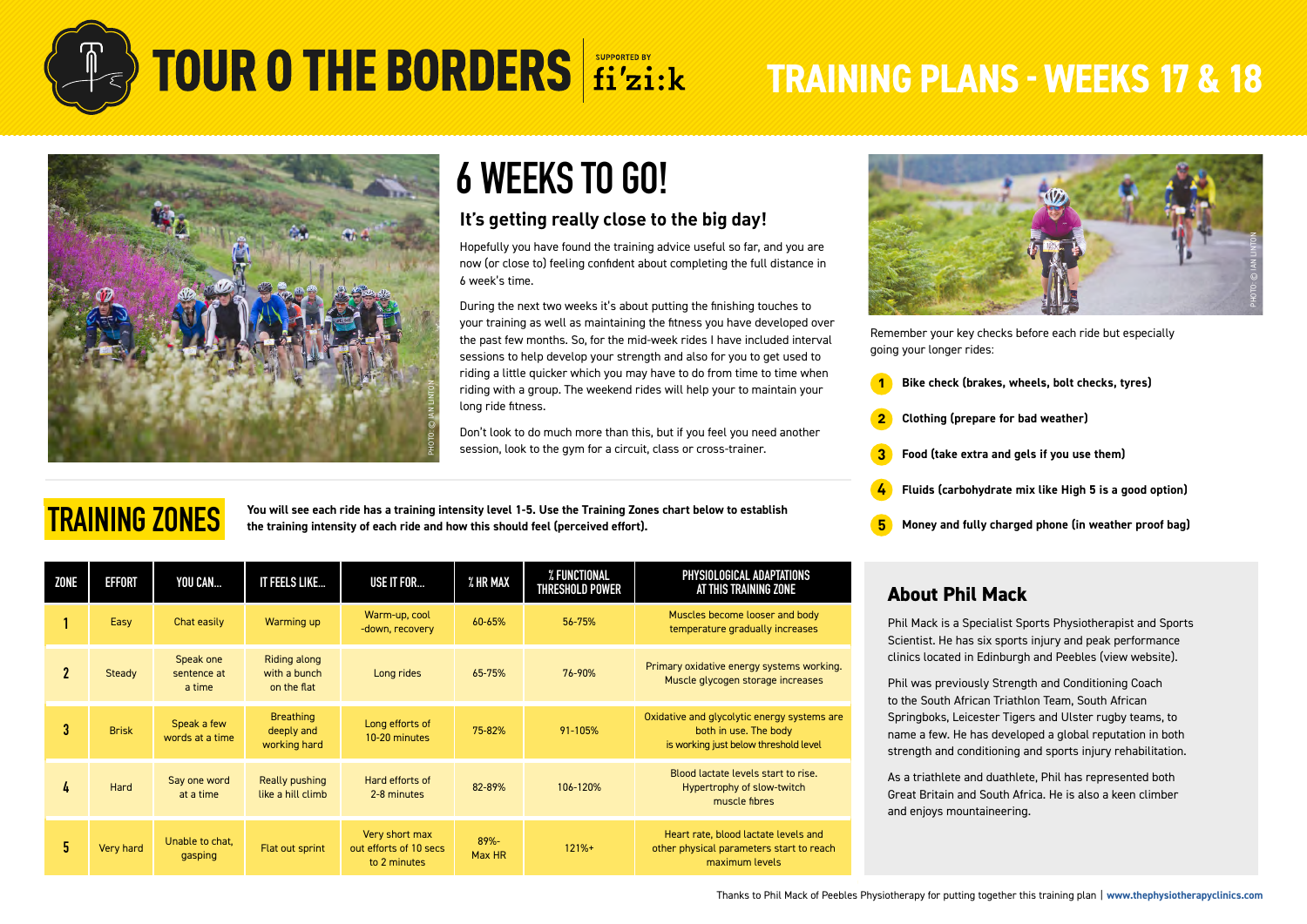

**TRAINING ZONES**

## **TOUR O THE BORDERS** fi'zi:k TRAINING PLANS - WEEKS 17 & 18



## **6 WEEKS TO GO!**

### **It's getting really close to the big day!**

Hopefully you have found the training advice useful so far, and you are now (or close to) feeling confident about completing the full distance in 6 week's time.

During the next two weeks it's about putting the finishing touches to your training as well as maintaining the fitness you have developed over the past few months. So, for the mid-week rides I have included interval sessions to help develop your strength and also for you to get used to riding a little quicker which you may have to do from time to time when riding with a group. The weekend rides will help your to maintain your long ride fitness.

Don't look to do much more than this, but if you feel you need another session, look to the gym for a circuit, class or cross-trainer.

**You will see each ride has a training intensity level 1-5. Use the Training Zones chart below to establish the training intensity of each ride and how this should feel (perceived effort).**

| ZONE         | <b>EFFORT</b> | YOU CAN                            | IT FEELS LIKE                                  | <b>USE IT FOR</b>                                        | % HR MAX       | % FUNCTIONAL<br><b>THRESHOLD POWER</b> | PHYSIOLOGICAL ADAPTATIONS<br>AT THIS TRAINING ZONE                                                            |
|--------------|---------------|------------------------------------|------------------------------------------------|----------------------------------------------------------|----------------|----------------------------------------|---------------------------------------------------------------------------------------------------------------|
|              | Easy          | Chat easily                        | Warming up                                     | Warm-up, cool<br>-down, recovery                         | 60-65%         | 56-75%                                 | Muscles become looser and body<br>temperature gradually increases                                             |
| $\mathbf{2}$ | Steady        | Speak one<br>sentence at<br>a time | Riding along<br>with a bunch<br>on the flat    | Long rides                                               | 65-75%         | 76-90%                                 | Primary oxidative energy systems working.<br>Muscle glycogen storage increases                                |
| 3            | <b>Brisk</b>  | Speak a few<br>words at a time     | <b>Breathing</b><br>deeply and<br>working hard | Long efforts of<br>10-20 minutes                         | 75-82%         | 91-105%                                | Oxidative and glycolytic energy systems are<br>both in use. The body<br>is working just below threshold level |
| 4            | Hard          | Say one word<br>at a time          | Really pushing<br>like a hill climb            | Hard efforts of<br>2-8 minutes                           | 82-89%         | 106-120%                               | Blood lactate levels start to rise.<br>Hypertrophy of slow-twitch<br>muscle fibres                            |
| 5            | Very hard     | Unable to chat,<br>gasping         | Flat out sprint                                | Very short max<br>out efforts of 10 secs<br>to 2 minutes | 89%-<br>Max HR | $121%+$                                | Heart rate, blood lactate levels and<br>other physical parameters start to reach<br>maximum levels            |



Remember your key checks before each ride but especially going your longer rides:

- **1 Bike check (brakes, wheels, bolt checks, tyres)**
- **2 Clothing (prepare for bad weather)**
- **3 Food (take extra and gels if you use them)**
- **4 Fluids (carbohydrate mix like High 5 is a good option)**
- **5 Money and fully charged phone (in weather proof bag)**

#### **About Phil Mack**

Phil Mack is a Specialist Sports Physiotherapist and Sports Scientist. He has six sports injury and peak performance clinics located in Edinburgh and Peebles ([view website](https://thephysiotherapyclinics.com/)).

Phil was previously Strength and Conditioning Coach to the South African Triathlon Team, South African Springboks, Leicester Tigers and Ulster rugby teams, to name a few. He has developed a global reputation in both strength and conditioning and sports injury rehabilitation.

As a triathlete and duathlete, Phil has represented both Great Britain and South Africa. He is also a keen climber and enjoys mountaineering.